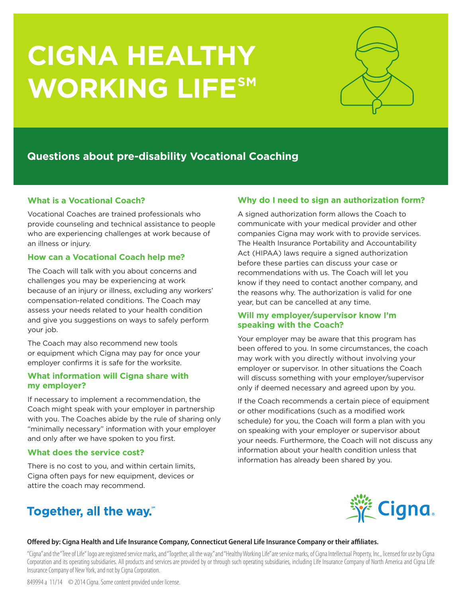# **CIGNA HEALTHY WORKING LIFESM**



## **Questions about pre-disability Vocational Coaching**

## **What is a Vocational Coach?**

Vocational Coaches are trained professionals who provide counseling and technical assistance to people who are experiencing challenges at work because of an illness or injury.

## **How can a Vocational Coach help me?**

The Coach will talk with you about concerns and challenges you may be experiencing at work because of an injury or illness, excluding any workers' compensation-related conditions. The Coach may assess your needs related to your health condition and give you suggestions on ways to safely perform your job.

The Coach may also recommend new tools or equipment which Cigna may pay for once your employer confirms it is safe for the worksite.

### **What information will Cigna share with my employer?**

If necessary to implement a recommendation, the Coach might speak with your employer in partnership with you. The Coaches abide by the rule of sharing only "minimally necessary" information with your employer and only after we have spoken to you first.

## **What does the service cost?**

There is no cost to you, and within certain limits, Cigna often pays for new equipment, devices or attire the coach may recommend.

# Together, all the way."

## **Why do I need to sign an authorization form?**

A signed authorization form allows the Coach to communicate with your medical provider and other companies Cigna may work with to provide services. The Health Insurance Portability and Accountability Act (HIPAA) laws require a signed authorization before these parties can discuss your case or recommendations with us. The Coach will let you know if they need to contact another company, and the reasons why. The authorization is valid for one year, but can be cancelled at any time.

### **Will my employer/supervisor know I'm speaking with the Coach?**

Your employer may be aware that this program has been offered to you. In some circumstances, the coach may work with you directly without involving your employer or supervisor. In other situations the Coach will discuss something with your employer/supervisor only if deemed necessary and agreed upon by you.

If the Coach recommends a certain piece of equipment or other modifications (such as a modified work schedule) for you, the Coach will form a plan with you on speaking with your employer or supervisor about your needs. Furthermore, the Coach will not discuss any information about your health condition unless that information has already been shared by you.



#### **Offered by: Cigna Health and Life Insurance Company, Connecticut General Life Insurance Company or their affiliates.**

"Cigna" and the "Tree of Life" logo are registered service marks, and "Together, all the way." and "Healthy Working Life" are service marks, of Cigna Intellectual Property, Inc., licensed for use by Cigna Corporation and its operating subsidiaries. All products and services are provided by or through such operating subsidiaries, including Life Insurance Company of North America and Cigna Life Insurance Company of New York, and not by Cigna Corporation.